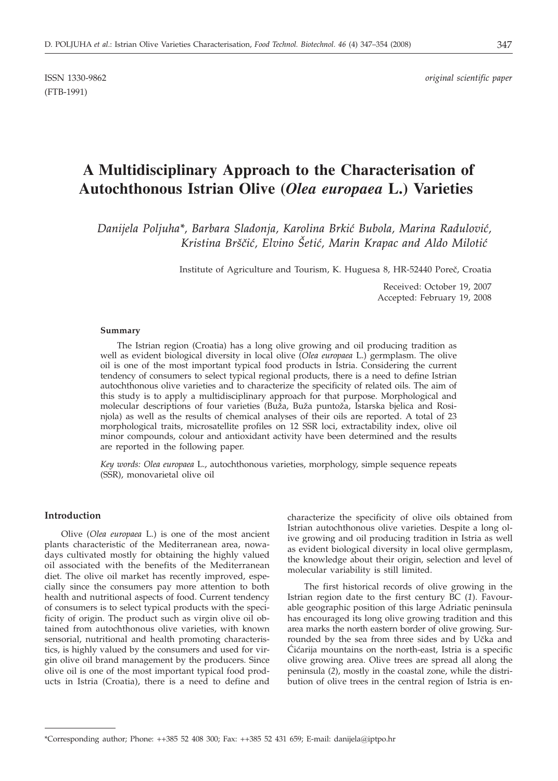(FTB-1991)

# **A Multidisciplinary Approach to the Characterisation of Autochthonous Istrian Olive (***Olea europaea* **L.) Varieties**

*Danijela Poljuha\*, Barbara Sladonja, Karolina Brki} Bubola, Marina Radulovi},* Kristina Brščić, Elvino Šetić, Marin Krapac and Aldo Milotić

Institute of Agriculture and Tourism, K. Huguesa 8, HR-52440 Poreč, Croatia

Received: October 19, 2007 Accepted: February 19, 2008

#### **Summary**

The Istrian region (Croatia) has a long olive growing and oil producing tradition as well as evident biological diversity in local olive (*Olea europaea* L.) germplasm. The olive oil is one of the most important typical food products in Istria. Considering the current tendency of consumers to select typical regional products, there is a need to define Istrian autochthonous olive varieties and to characterize the specificity of related oils. The aim of this study is to apply a multidisciplinary approach for that purpose. Morphological and molecular descriptions of four varieties (Buža, Buža puntoža, Istarska bjelica and Rosinjola) as well as the results of chemical analyses of their oils are reported. A total of 23 morphological traits, microsatellite profiles on 12 SSR loci, extractability index, olive oil minor compounds, colour and antioxidant activity have been determined and the results are reported in the following paper.

*Key words: Olea europaea* L., autochthonous varieties, morphology, simple sequence repeats (SSR), monovarietal olive oil

# **Introduction**

Olive (*Olea europaea* L.) is one of the most ancient plants characteristic of the Mediterranean area, nowadays cultivated mostly for obtaining the highly valued oil associated with the benefits of the Mediterranean diet. The olive oil market has recently improved, especially since the consumers pay more attention to both health and nutritional aspects of food. Current tendency of consumers is to select typical products with the specificity of origin. The product such as virgin olive oil obtained from autochthonous olive varieties, with known sensorial, nutritional and health promoting characteristics, is highly valued by the consumers and used for virgin olive oil brand management by the producers. Since olive oil is one of the most important typical food products in Istria (Croatia), there is a need to define and

characterize the specificity of olive oils obtained from Istrian autochthonous olive varieties. Despite a long olive growing and oil producing tradition in Istria as well as evident biological diversity in local olive germplasm, the knowledge about their origin, selection and level of molecular variability is still limited.

The first historical records of olive growing in the Istrian region date to the first century BC (*1*). Favourable geographic position of this large Adriatic peninsula has encouraged its long olive growing tradition and this area marks the north eastern border of olive growing. Surrounded by the sea from three sides and by Učka and Cićarija mountains on the north-east, Istria is a specific olive growing area. Olive trees are spread all along the peninsula (*2*), mostly in the coastal zone, while the distribution of olive trees in the central region of Istria is en-

<sup>\*</sup>Corresponding author; Phone: ++385 52 408 300; Fax: ++385 52 431 659; E-mail: danijela@iptpo.hr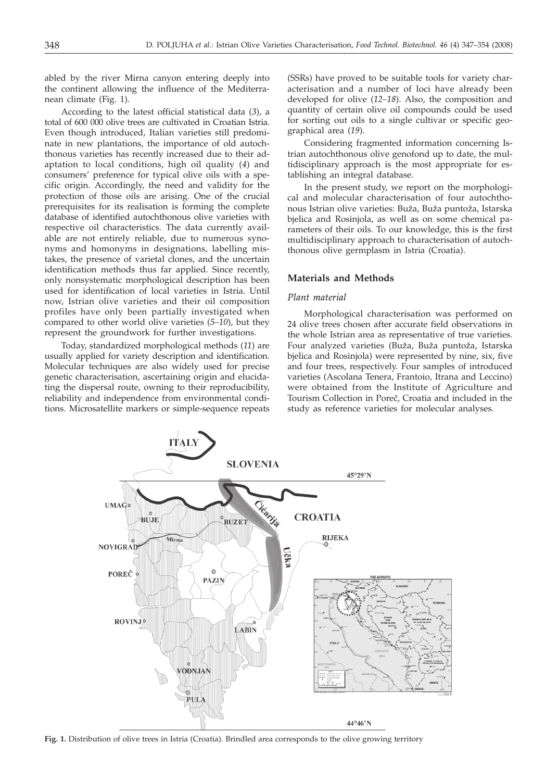abled by the river Mirna canyon entering deeply into the continent allowing the influence of the Mediterranean climate (Fig. 1).

According to the latest official statistical data (*3*), a total of 600 000 olive trees are cultivated in Croatian Istria. Even though introduced, Italian varieties still predominate in new plantations, the importance of old autochthonous varieties has recently increased due to their adaptation to local conditions, high oil quality (*4*) and consumers' preference for typical olive oils with a specific origin. Accordingly, the need and validity for the protection of those oils are arising. One of the crucial prerequisites for its realisation is forming the complete database of identified autochthonous olive varieties with respective oil characteristics. The data currently available are not entirely reliable, due to numerous synonyms and homonyms in designations, labelling mistakes, the presence of varietal clones, and the uncertain identification methods thus far applied. Since recently, only nonsystematic morphological description has been used for identification of local varieties in Istria. Until now, Istrian olive varieties and their oil composition profiles have only been partially investigated when compared to other world olive varieties (*5–10*), but they represent the groundwork for further investigations.

Today, standardized morphological methods (*11*) are usually applied for variety description and identification. Molecular techniques are also widely used for precise genetic characterisation, ascertaining origin and elucidating the dispersal route, owning to their reproducibility, reliability and independence from environmental conditions. Microsatellite markers or simple-sequence repeats (SSRs) have proved to be suitable tools for variety characterisation and a number of loci have already been developed for olive (*12–18*). Also, the composition and quantity of certain olive oil compounds could be used for sorting out oils to a single cultivar or specific geographical area (*19*).

Considering fragmented information concerning Istrian autochthonous olive genofond up to date, the multidisciplinary approach is the most appropriate for establishing an integral database.

In the present study, we report on the morphological and molecular characterisation of four autochthonous Istrian olive varieties: Buža, Buža puntoža, Istarska bjelica and Rosinjola, as well as on some chemical parameters of their oils. To our knowledge, this is the first multidisciplinary approach to characterisation of autochthonous olive germplasm in Istria (Croatia).

# **Materials and Methods**

## *Plant material*

Morphological characterisation was performed on 24 olive trees chosen after accurate field observations in the whole Istrian area as representative of true varieties. Four analyzed varieties (Buža, Buža puntoža, Istarska bjelica and Rosinjola) were represented by nine, six, five and four trees, respectively. Four samples of introduced varieties (Ascolana Tenera, Frantoio, Itrana and Leccino) were obtained from the Institute of Agriculture and Tourism Collection in Poreč, Croatia and included in the study as reference varieties for molecular analyses.



**Fig. 1.** Distribution of olive trees in Istria (Croatia). Brindled area corresponds to the olive growing territory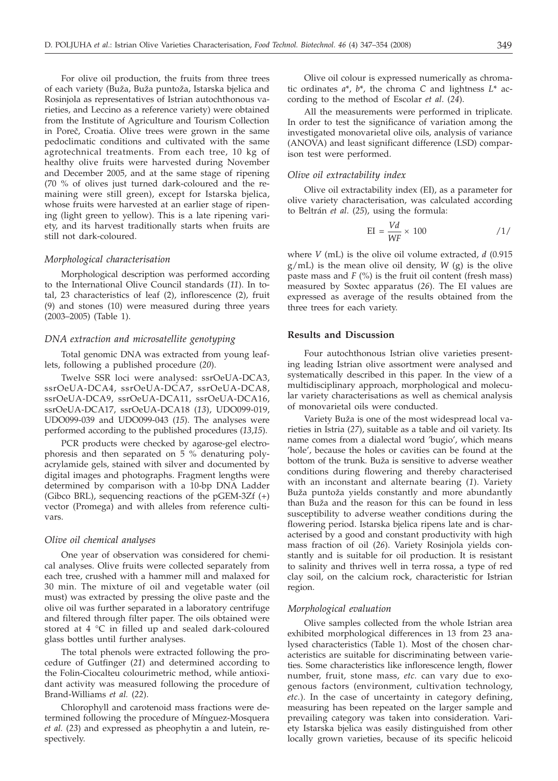For olive oil production, the fruits from three trees of each variety (Buža, Buža puntoža, Istarska bjelica and Rosinjola as representatives of Istrian autochthonous varieties, and Leccino as a reference variety) were obtained from the Institute of Agriculture and Tourism Collection in Poreč, Croatia. Olive trees were grown in the same pedoclimatic conditions and cultivated with the same agrotechnical treatments. From each tree, 10 kg of healthy olive fruits were harvested during November and December 2005, and at the same stage of ripening (70 % of olives just turned dark-coloured and the remaining were still green), except for Istarska bjelica, whose fruits were harvested at an earlier stage of ripening (light green to yellow). This is a late ripening variety, and its harvest traditionally starts when fruits are still not dark-coloured.

#### *Morphological characterisation*

Morphological description was performed according to the International Olive Council standards (*11*). In total, 23 characteristics of leaf (2), inflorescence (2), fruit (9) and stones (10) were measured during three years (2003–2005) (Table 1).

#### *DNA extraction and microsatellite genotyping*

Total genomic DNA was extracted from young leaflets, following a published procedure (*20*).

Twelve SSR loci were analysed: ssrOeUA-DCA3, ssrOeUA-DCA4, ssrOeUA-DCA7, ssrOeUA-DCA8, ssrOeUA-DCA9, ssrOeUA-DCA11, ssrOeUA-DCA16, ssrOeUA-DCA17, ssrOeUA-DCA18 (*13*), UDO099-019, UDO099-039 and UDO099-043 (*15*). The analyses were performed according to the published procedures (*13*,*15*).

PCR products were checked by agarose-gel electrophoresis and then separated on 5 % denaturing polyacrylamide gels, stained with silver and documented by digital images and photographs. Fragment lengths were determined by comparison with a 10-bp DNA Ladder (Gibco BRL), sequencing reactions of the pGEM-3Zf (+) vector (Promega) and with alleles from reference cultivars.

#### *Olive oil chemical analyses*

One year of observation was considered for chemical analyses. Olive fruits were collected separately from each tree, crushed with a hammer mill and malaxed for 30 min. The mixture of oil and vegetable water (oil must) was extracted by pressing the olive paste and the olive oil was further separated in a laboratory centrifuge and filtered through filter paper. The oils obtained were stored at 4 °C in filled up and sealed dark-coloured glass bottles until further analyses.

The total phenols were extracted following the procedure of Gutfinger (*21*) and determined according to the Folin-Ciocalteu colourimetric method, while antioxidant activity was measured following the procedure of Brand-Williams *et al.* (*22*).

Chlorophyll and carotenoid mass fractions were determined following the procedure of Mínguez-Mosquera *et al.* (*23*) and expressed as pheophytin a and lutein, respectively.

Olive oil colour is expressed numerically as chromatic ordinates *a*\*, *b*\*, the chroma *C* and lightness *L*\* according to the method of Escolar *et al*. (*24*).

All the measurements were performed in triplicate. In order to test the significance of variation among the investigated monovarietal olive oils, analysis of variance (ANOVA) and least significant difference (LSD) comparison test were performed.

## *Olive oil extractability index*

Olive oil extractability index (EI), as a parameter for olive variety characterisation, was calculated according to Beltrán *et al*. (*25*), using the formula:

$$
EI = \frac{Vd}{WF} \times 100 \qquad \qquad \frac{1}{}
$$

where *V* (mL) is the olive oil volume extracted, *d* (0.915 g/mL) is the mean olive oil density, *W* (g) is the olive paste mass and *F* (%) is the fruit oil content (fresh mass) measured by Soxtec apparatus (*26*). The EI values are expressed as average of the results obtained from the three trees for each variety.

### **Results and Discussion**

Four autochthonous Istrian olive varieties presenting leading Istrian olive assortment were analysed and systematically described in this paper. In the view of a multidisciplinary approach, morphological and molecular variety characterisations as well as chemical analysis of monovarietal oils were conducted.

Variety Buža is one of the most widespread local varieties in Istria (*27*), suitable as a table and oil variety. Its name comes from a dialectal word 'bugio', which means 'hole', because the holes or cavities can be found at the bottom of the trunk. Buža is sensitive to adverse weather conditions during flowering and thereby characterised with an inconstant and alternate bearing (*1*). Variety Buža puntoža yields constantly and more abundantly than Buža and the reason for this can be found in less susceptibility to adverse weather conditions during the flowering period. Istarska bjelica ripens late and is characterised by a good and constant productivity with high mass fraction of oil (*26*). Variety Rosinjola yields constantly and is suitable for oil production. It is resistant to salinity and thrives well in terra rossa, a type of red clay soil, on the calcium rock, characteristic for Istrian region.

# *Morphological evaluation*

Olive samples collected from the whole Istrian area exhibited morphological differences in 13 from 23 analysed characteristics (Table 1). Most of the chosen characteristics are suitable for discriminating between varieties. Some characteristics like inflorescence length, flower number, fruit, stone mass, *etc.* can vary due to exogenous factors (environment, cultivation technology, *etc.*). In the case of uncertainty in category defining, measuring has been repeated on the larger sample and prevailing category was taken into consideration. Variety Istarska bjelica was easily distinguished from other locally grown varieties, because of its specific helicoid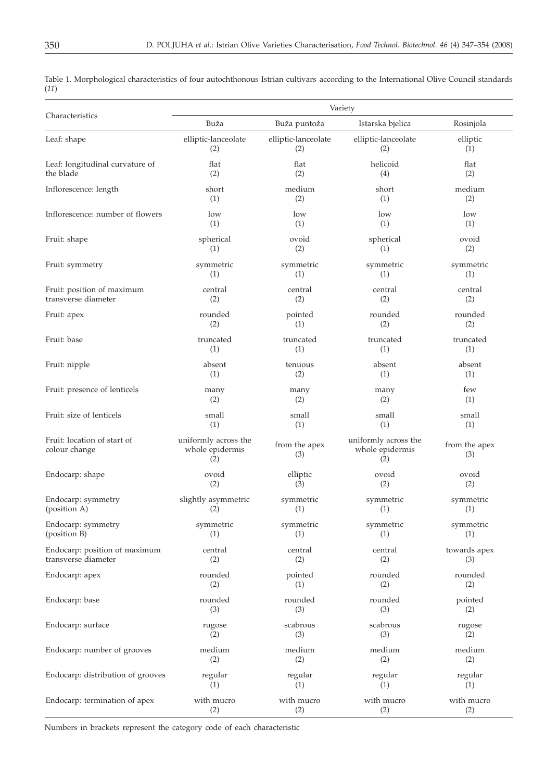|      | Table 1. Morphological characteristics of four autochthonous Istrian cultivars according to the International Olive Council standards |  |  |  |  |  |  |
|------|---------------------------------------------------------------------------------------------------------------------------------------|--|--|--|--|--|--|
| (11) |                                                                                                                                       |  |  |  |  |  |  |

|                                              | Variety                                        |                      |                                                |                      |  |  |  |  |  |
|----------------------------------------------|------------------------------------------------|----------------------|------------------------------------------------|----------------------|--|--|--|--|--|
| Characteristics                              | Buža                                           | Buža puntoža         | Istarska bjelica                               | Rosinjola            |  |  |  |  |  |
| Leaf: shape                                  | elliptic-lanceolate                            | elliptic-lanceolate  | elliptic-lanceolate                            | elliptic             |  |  |  |  |  |
|                                              | (2)                                            | (2)                  | (2)                                            | (1)                  |  |  |  |  |  |
| Leaf: longitudinal curvature of              | flat                                           | flat                 | helicoid                                       | flat                 |  |  |  |  |  |
| the blade                                    | (2)                                            | (2)                  | (4)                                            | (2)                  |  |  |  |  |  |
| Inflorescence: length                        | short                                          | medium               | short                                          | medium               |  |  |  |  |  |
|                                              | (1)                                            | (2)                  | (1)                                            | (2)                  |  |  |  |  |  |
| Inflorescence: number of flowers             | low                                            | low                  | low                                            | low                  |  |  |  |  |  |
|                                              | (1)                                            | (1)                  | (1)                                            | (1)                  |  |  |  |  |  |
| Fruit: shape                                 | spherical                                      | ovoid                | spherical                                      | ovoid                |  |  |  |  |  |
|                                              | (1)                                            | (2)                  | (1)                                            | (2)                  |  |  |  |  |  |
| Fruit: symmetry                              | symmetric                                      | symmetric            | symmetric                                      | symmetric            |  |  |  |  |  |
|                                              | (1)                                            | (1)                  | (1)                                            | (1)                  |  |  |  |  |  |
| Fruit: position of maximum                   | central                                        | central              | central                                        | central              |  |  |  |  |  |
| transverse diameter                          | (2)                                            | (2)                  | (2)                                            | (2)                  |  |  |  |  |  |
| Fruit: apex                                  | rounded                                        | pointed              | rounded                                        | rounded              |  |  |  |  |  |
|                                              | (2)                                            | (1)                  | (2)                                            | (2)                  |  |  |  |  |  |
| Fruit: base                                  | truncated                                      | truncated            | truncated                                      | truncated            |  |  |  |  |  |
|                                              | (1)                                            | (1)                  | (1)                                            | (1)                  |  |  |  |  |  |
| Fruit: nipple                                | absent                                         | tenuous              | absent                                         | absent               |  |  |  |  |  |
|                                              | (1)                                            | (2)                  | (1)                                            | (1)                  |  |  |  |  |  |
| Fruit: presence of lenticels                 | many                                           | many                 | many                                           | few                  |  |  |  |  |  |
|                                              | (2)                                            | (2)                  | (2)                                            | (1)                  |  |  |  |  |  |
| Fruit: size of lenticels                     | small                                          | small                | small                                          | small                |  |  |  |  |  |
|                                              | (1)                                            | (1)                  | (1)                                            | (1)                  |  |  |  |  |  |
| Fruit: location of start of<br>colour change | uniformly across the<br>whole epidermis<br>(2) | from the apex<br>(3) | uniformly across the<br>whole epidermis<br>(2) | from the apex<br>(3) |  |  |  |  |  |
| Endocarp: shape                              | ovoid                                          | elliptic             | ovoid                                          | ovoid                |  |  |  |  |  |
|                                              | (2)                                            | (3)                  | (2)                                            | (2)                  |  |  |  |  |  |
| Endocarp: symmetry                           | slightly asymmetric                            | symmetric            | symmetric                                      | symmetric            |  |  |  |  |  |
| (position A)                                 | (2)                                            | (1)                  | (1)                                            | (1)                  |  |  |  |  |  |
| Endocarp: symmetry                           | symmetric                                      | symmetric            | symmetric                                      | symmetric            |  |  |  |  |  |
| (position B)                                 | (1)                                            | (1)                  | (1)                                            | (1)                  |  |  |  |  |  |
| Endocarp: position of maximum                | central                                        | central              | central                                        | towards apex         |  |  |  |  |  |
| transverse diameter                          | (2)                                            | (2)                  | (2)                                            | (3)                  |  |  |  |  |  |
| Endocarp: apex                               | rounded                                        | pointed              | rounded                                        | rounded              |  |  |  |  |  |
|                                              | (2)                                            | (1)                  | (2)                                            | (2)                  |  |  |  |  |  |
| Endocarp: base                               | rounded                                        | rounded              | rounded                                        | pointed              |  |  |  |  |  |
|                                              | (3)                                            | (3)                  | (3)                                            | (2)                  |  |  |  |  |  |
| Endocarp: surface                            | rugose                                         | scabrous             | scabrous                                       | rugose               |  |  |  |  |  |
|                                              | (2)                                            | (3)                  | (3)                                            | (2)                  |  |  |  |  |  |
| Endocarp: number of grooves                  | medium                                         | medium               | medium                                         | medium               |  |  |  |  |  |
|                                              | (2)                                            | (2)                  | (2)                                            | (2)                  |  |  |  |  |  |
| Endocarp: distribution of grooves            | regular                                        | regular              | regular                                        | regular              |  |  |  |  |  |
|                                              | (1)                                            | (1)                  | (1)                                            | (1)                  |  |  |  |  |  |
| Endocarp: termination of apex                | with mucro                                     | with mucro           | with mucro                                     | with mucro           |  |  |  |  |  |
|                                              | (2)                                            | (2)                  | (2)                                            | (2)                  |  |  |  |  |  |

Numbers in brackets represent the category code of each characteristic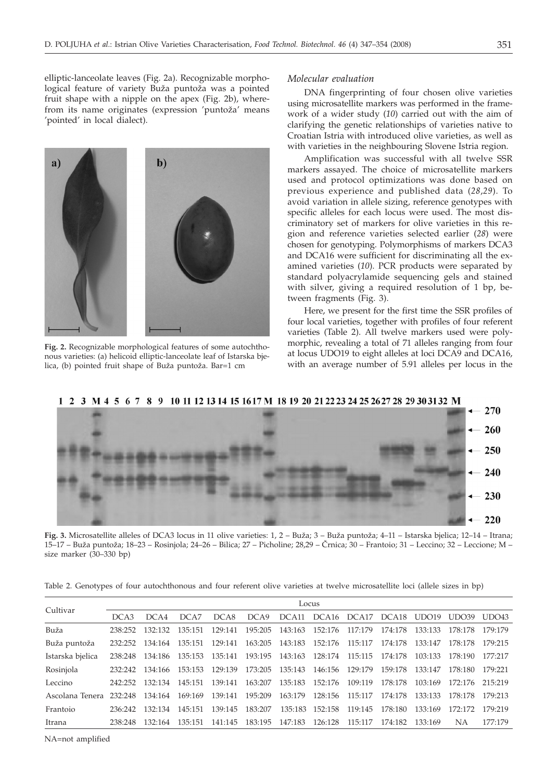elliptic-lanceolate leaves (Fig. 2a). Recognizable morphological feature of variety Buža puntoža was a pointed fruit shape with a nipple on the apex (Fig. 2b), wherefrom its name originates (expression 'puntoža' means 'pointed' in local dialect).



DNA fingerprinting of four chosen olive varieties using microsatellite markers was performed in the framework of a wider study (*10*) carried out with the aim of clarifying the genetic relationships of varieties native to Croatian Istria with introduced olive varieties, as well as with varieties in the neighbouring Slovene Istria region.

Amplification was successful with all twelve SSR markers assayed. The choice of microsatellite markers used and protocol optimizations was done based on previous experience and published data (*28*,*29*). To avoid variation in allele sizing, reference genotypes with specific alleles for each locus were used. The most discriminatory set of markers for olive varieties in this region and reference varieties selected earlier (*28*) were chosen for genotyping. Polymorphisms of markers DCA3 and DCA16 were sufficient for discriminating all the examined varieties (*10*). PCR products were separated by standard polyacrylamide sequencing gels and stained with silver, giving a required resolution of 1 bp, between fragments (Fig. 3).

Here, we present for the first time the SSR profiles of four local varieties, together with profiles of four referent varieties (Table 2). All twelve markers used were polymorphic, revealing a total of 71 alleles ranging from four at locus UDO19 to eight alleles at loci DCA9 and DCA16, with an average number of 5.91 alleles per locus in the

1 2 3 M 4 5 6 7 8 9 10 11 12 13 14 15 16 17 M 18 19 20 21 22 23 24 25 26 27 28 29 30 31 32 M

**Fig. 3.** Microsatellite alleles of DCA3 locus in 11 olive varieties: 1, 2 – Buža; 3 – Buža puntoža; 4–11 – Istarska bjelica; 12–14 – Itrana; 15–17 – Bu`a punto`a; 18–23 – Rosinjola; 24–26 – Bilica; 27 – Picholine; 28,29 – ^rnica; 30 – Frantoio; 31 – Leccino; 32 – Leccione; M – size marker (30–330 bp)

| Table 2. Genotypes of four autochthonous and four referent olive varieties at twelve microsatellite loci (allele sizes in bp) |  |  |  |  |
|-------------------------------------------------------------------------------------------------------------------------------|--|--|--|--|
|-------------------------------------------------------------------------------------------------------------------------------|--|--|--|--|

| Cultivar                        | Locus   |         |         |         |                                 |                                 |                         |                                     |         |                 |         |         |
|---------------------------------|---------|---------|---------|---------|---------------------------------|---------------------------------|-------------------------|-------------------------------------|---------|-----------------|---------|---------|
|                                 | DCA3    | DCA4    | DCA7    | DCA8    | DCA9                            |                                 |                         | DCA11 DCA16 DCA17 DCA18 UDO19 UDO39 |         |                 |         | UDO43   |
| Buža                            | 238:252 | 132:132 | 135:151 | 129:141 |                                 | 195:205 143:163 152:176         |                         | 117:179                             | 174:178 | 133:133         | 178:178 | 179:179 |
| Buža puntoža                    | 232:252 | 134:164 | 135:151 | 129:141 | 163:205 143:183 152:176 115:117 |                                 |                         |                                     | 174:178 | 133:147         | 178:178 | 179:215 |
| Istarska bjelica                | 238:248 | 134:186 | 135:153 | 135:141 | 193:195 143:163                 |                                 | 128:174                 | 115:115                             | 174:178 | 103:133         | 178:190 | 177:217 |
| Rosinjola                       | 232:242 | 134:166 | 153:153 | 129:139 |                                 | 173:205 135:143 146:156 129:179 |                         |                                     | 159:178 | 133:147         | 178:180 | 179:221 |
| Leccino                         | 242.252 | 132:134 | 145:151 | 139:141 | 163:207                         | 135:183                         | 152:176                 | 109:119                             | 178:178 | 103:169         | 172:176 | 215:219 |
| Ascolana Tenera 232:248 134:164 |         |         | 169:169 | 139:141 | 195:209                         |                                 | 163:179 128:156 115:117 |                                     | 174:178 | 133:133 178:178 |         | 179:213 |
| Frantoio                        | 236:242 | 132:134 | 145:151 | 139:145 | 183:207                         | 135:183                         | 152:158                 | 119:145                             | 178:180 | 133:169         | 172:172 | 179:219 |
| Itrana                          | 238:248 | 132:164 | 135:151 | 141:145 | 183:195 147:183 126:128         |                                 |                         | 115:117                             | 174:182 | 133:169         | NА      | 177:179 |

NA=not amplified

 $$  $a)$ 

**Fig. 2.** Recognizable morphological features of some autochthonous varieties: (a) helicoid elliptic-lanceolate leaf of Istarska bjelica, (b) pointed fruit shape of Buža puntoža. Bar=1 cm

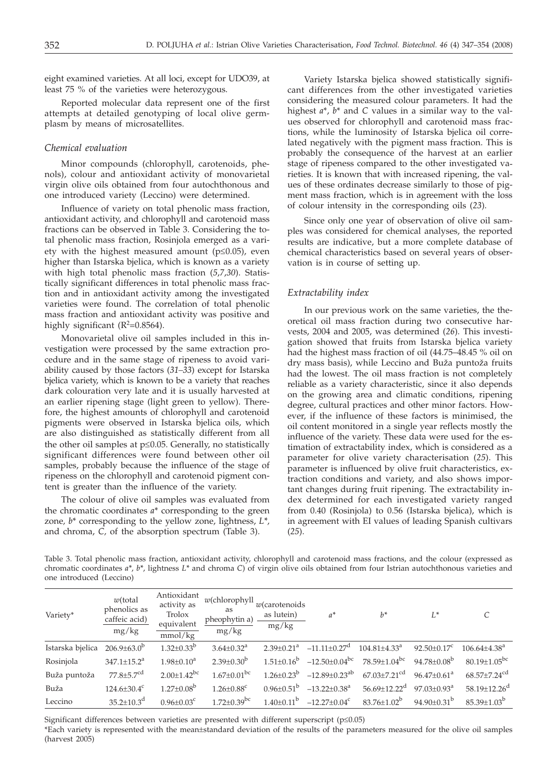eight examined varieties. At all loci, except for UDO39, at least 75 % of the varieties were heterozygous.

Reported molecular data represent one of the first attempts at detailed genotyping of local olive germplasm by means of microsatellites.

## *Chemical evaluation*

Minor compounds (chlorophyll, carotenoids, phenols), colour and antioxidant activity of monovarietal virgin olive oils obtained from four autochthonous and one introduced variety (Leccino) were determined.

Influence of variety on total phenolic mass fraction, antioxidant activity, and chlorophyll and carotenoid mass fractions can be observed in Table 3. Considering the total phenolic mass fraction, Rosinjola emerged as a variety with the highest measured amount ( $p \le 0.05$ ), even higher than Istarska bjelica, which is known as a variety with high total phenolic mass fraction (*5*,*7*,*30*). Statistically significant differences in total phenolic mass fraction and in antioxidant activity among the investigated varieties were found. The correlation of total phenolic mass fraction and antioxidant activity was positive and highly significant ( $R^2$ =0.8564).

Monovarietal olive oil samples included in this investigation were processed by the same extraction procedure and in the same stage of ripeness to avoid variability caused by those factors (*31–33*) except for Istarska bjelica variety, which is known to be a variety that reaches dark colouration very late and it is usually harvested at an earlier ripening stage (light green to yellow). Therefore, the highest amounts of chlorophyll and carotenoid pigments were observed in Istarska bjelica oils, which are also distinguished as statistically different from all the other oil samples at  $p \leq 0.05$ . Generally, no statistically significant differences were found between other oil samples, probably because the influence of the stage of ripeness on the chlorophyll and carotenoid pigment content is greater than the influence of the variety.

The colour of olive oil samples was evaluated from the chromatic coordinates *a*\* corresponding to the green zone*, b*\* corresponding to the yellow zone, lightness, *L\*,* and chroma, *C,* of the absorption spectrum (Table 3).

Variety Istarska bjelica showed statistically significant differences from the other investigated varieties considering the measured colour parameters. It had the highest *a*\*, *b*\* and *C* values in a similar way to the values observed for chlorophyll and carotenoid mass fractions, while the luminosity of Istarska bjelica oil correlated negatively with the pigment mass fraction. This is probably the consequence of the harvest at an earlier stage of ripeness compared to the other investigated varieties. It is known that with increased ripening, the values of these ordinates decrease similarly to those of pigment mass fraction, which is in agreement with the loss of colour intensity in the corresponding oils (*23*).

Since only one year of observation of olive oil samples was considered for chemical analyses, the reported results are indicative, but a more complete database of chemical characteristics based on several years of observation is in course of setting up.

#### *Extractability index*

In our previous work on the same varieties, the theoretical oil mass fraction during two consecutive harvests, 2004 and 2005, was determined (*26*). This investigation showed that fruits from Istarska bjelica variety had the highest mass fraction of oil (44.75–48.45 % oil on dry mass basis), while Leccino and Buža puntoža fruits had the lowest. The oil mass fraction is not completely reliable as a variety characteristic, since it also depends on the growing area and climatic conditions, ripening degree, cultural practices and other minor factors. However, if the influence of these factors is minimised, the oil content monitored in a single year reflects mostly the influence of the variety. These data were used for the estimation of extractability index, which is considered as a parameter for olive variety characterisation (*25*). This parameter is influenced by olive fruit characteristics, extraction conditions and variety, and also shows important changes during fruit ripening. The extractability index determined for each investigated variety ranged from 0.40 (Rosinjola) to 0.56 (Istarska bjelica), which is in agreement with EI values of leading Spanish cultivars (*25*).

Table 3. Total phenolic mass fraction, antioxidant activity, chlorophyll and carotenoid mass fractions, and the colour (expressed as chromatic coordinates *a\**, *b\**, lightness *L\** and chroma *C*) of virgin olive oils obtained from four Istrian autochthonous varieties and one introduced (Leccino)

| Variety*         | $w$ (total<br>phenolics as<br>caffeic acid)<br>mg/kg | Antioxidant<br>activity as<br>Trolox<br>equivalent<br>mmol/kg | $w$ (chlorophyll<br>as<br>pheophytin a)<br>mg/kg | $w$ (carotenoids<br>as lutein)<br>mg/kg | $a^*$                           | $h^*$                          | $L^*$                         |                                |
|------------------|------------------------------------------------------|---------------------------------------------------------------|--------------------------------------------------|-----------------------------------------|---------------------------------|--------------------------------|-------------------------------|--------------------------------|
| Istarska bjelica | $206.9 \pm 63.0^{\circ}$                             | $1.32 \pm 0.33^b$                                             | $3.64 \pm 0.32$ <sup>a</sup>                     | $2.39 \pm 0.21$ <sup>a</sup>            | $-11.11 \pm 0.27$ <sup>d</sup>  | $104.81 \pm 4.33$ <sup>a</sup> | $92.50 \pm 0.17$ <sup>c</sup> | $106.64 \pm 4.38$ <sup>a</sup> |
| Rosinjola        | $347.1 \pm 15.2^a$                                   | $1.98 \pm 0.10^a$                                             | $2.39 \pm 0.30^b$                                | $1.51 \pm 0.16^b$                       | $-12.50\pm0.04^{\rm bc}$        | 78.59±1.04 <sup>bc</sup>       | $94.78 \pm 0.08^b$            | $80.19 \pm 1.05^{bc}$          |
| Buža puntoža     | $77.8 \pm 5.7$ <sup>cd</sup>                         | $2.00 \pm 1.42$ <sup>bc</sup>                                 | $1.67 \pm 0.01$ <sup>bc</sup>                    | $1.26 \pm 0.23^b$                       | $-12.89 \pm 0.23$ <sup>ab</sup> | $67.03 \pm 7.21$ <sup>cd</sup> | $96.47 \pm 0.61^a$            | $68.57 \pm 7.24$ <sup>cd</sup> |
| Buža             | $124.6 \pm 30.4$ <sup>c</sup>                        | $1.27 \pm 0.08^b$                                             | $1.26 \pm 0.88$ <sup>c</sup>                     | $0.96 \pm 0.51^{\circ}$                 | $-13.22 \pm 0.38$ <sup>a</sup>  | $56.69 \pm 12.22$ <sup>d</sup> | $97.03 \pm 0.93$ <sup>a</sup> | $58.19 \pm 12.26$ <sup>d</sup> |
| Leccino          | $35.2 \pm 10.3$ <sup>d</sup>                         | $0.96 \pm 0.03$ <sup>c</sup>                                  | $1.72 \pm 0.39$ <sup>bc</sup>                    | $1.40 \pm 0.11^{\circ}$                 | $-12.27 \pm 0.04$ <sup>c</sup>  | $83.76 \pm 1.02^b$             | 94.90 $\pm$ 0.31 <sup>b</sup> | $85.39 \pm 1.03^b$             |

Significant differences between varieties are presented with different superscript ( $p \leq 0.05$ )

\*Each variety is represented with the mean±standard deviation of the results of the parameters measured for the olive oil samples (harvest 2005)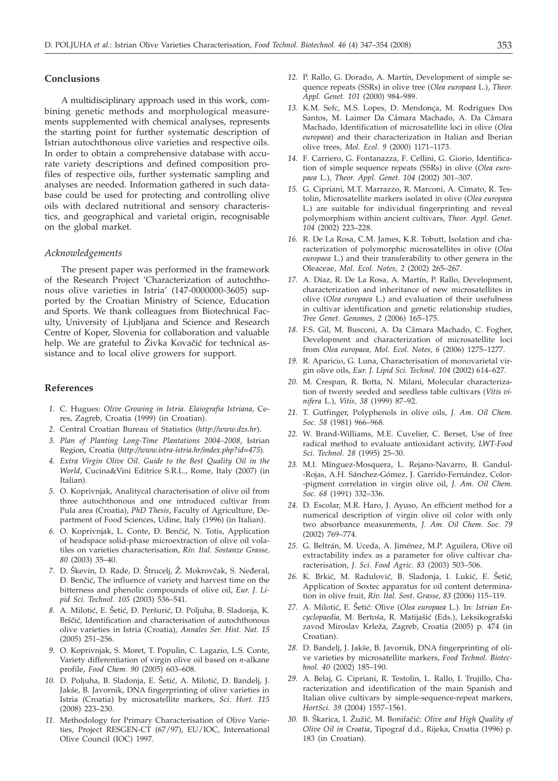# **Conclusions**

A multidisciplinary approach used in this work, combining genetic methods and morphological measurements supplemented with chemical analyses, represents the starting point for further systematic description of Istrian autochthonous olive varieties and respective oils. In order to obtain a comprehensive database with accurate variety descriptions and defined composition profiles of respective oils, further systematic sampling and analyses are needed. Information gathered in such database could be used for protecting and controlling olive oils with declared nutritional and sensory characteristics, and geographical and varietal origin, recognisable on the global market.

## *Acknowledgements*

The present paper was performed in the framework of the Research Project 'Characterization of autochthonous olive varieties in Istria' (147-0000000-3605) supported by the Croatian Ministry of Science, Education and Sports. We thank colleagues from Biotechnical Faculty, University of Ljubljana and Science and Research Centre of Koper, Slovenia for collaboration and valuable help. We are grateful to Živka Kovačić for technical assistance and to local olive growers for support.

## **References**

- *1.* C. Hugues: *Olive Growing in Istria. Elaiografia Istriana,* Ceres, Zagreb, Croatia (1999) (in Croatian).
- *2.* Central Croatian Bureau of Statistics (*http://www.dzs.hr*).
- *3. Plan of Planting Long-Time Plantations 2004–2008*, Istrian Region, Croatia (*http://www.istra-istria.hr/index.php?id=475*).
- *4. Extra Virgin Olive Oil. Guide to the Best Quality Oil in the World*, Cucina&Vini Editrice S.R.L., Rome, Italy (2007) (in Italian).
- *5.* O. Koprivnjak, Analitycal characterisation of olive oil from three autochthonous and one introduced cultivar from Pula area (Croatia), *PhD Thesis*, Faculty of Agriculture, Department of Food Sciences, Udine, Italy (1996) (in Italian).
- *6.* O. Koprivnjak, L. Conte, \. Ben~i}, N. Totis, Application of headspace solid-phase microextraction of olive oil volatiles on varieties characterisation, *Riv. Ital. Sostanze Grasse, 80* (2003) 35–40.
- 7. D. Škevin, D. Rade, D. Štrucelj, Ž. Mokrovčak, S. Neđeral, \. Ben~i}, The influence of variety and harvest time on the bitterness and phenolic compounds of olive oil, *Eur. J. Lipid Sci. Technol. 105* (2003) 536–541.
- 8. A. Milotić, E. Šetić, Đ. Peršurić, D. Poljuha, B. Sladonja, K. Brščić, Identification and characterisation of autochthonous olive varieties in Istria (Croatia), *Annales Ser. Hist. Nat. 15* (2005) 251–256.
- *9.* O. Koprivnjak, S. Moret, T. Populin, C. Lagazio, L.S. Conte, Variety differentiation of virgin olive oil based on *n*-alkane profile, *Food Chem. 90* (2005) 603–608.
- 10. D. Poljuha, B. Sladonja, E. Šetić, A. Milotić, D. Bandelj, J. Jakše, B. Javornik, DNA fingerprinting of olive varieties in Istria (Croatia) by microsatellite markers, *Sci. Hort. 115* (2008) 223–230.
- *11.* Methodology for Primary Characterisation of Olive Varieties, Project RESGEN-CT (67/97), EU/IOC, International Olive Council (IOC) 1997.
- *12.* P. Rallo, G. Dorado, A. Martín, Development of simple sequence repeats (SSRs) in olive tree (*Olea europaea* L.), *Theor. Appl. Genet. 101* (2000) 984–989.
- *13.* K.M. Sefc, M.S. Lopes, D. Mendonça, M. Rodrigues Dos Santos, M. Laimer Da Câmara Machado, A. Da Câmara Machado, Identification of microsatellite loci in olive (*Olea europaea*) and their characterization in Italian and Iberian olive trees, *Mol. Ecol. 9* (2000) 1171–1173.
- *14.* F. Carriero, G. Fontanazza, F. Cellini, G. Giorio, Identification of simple sequence repeats (SSRs) in olive (*Olea europaea* L.), *Theor. Appl. Genet. 104* (2002) 301–307.
- *15.* G. Cipriani, M.T. Marrazzo, R. Marconi, A. Cimato, R. Testolin, Microsatellite markers isolated in olive (*Olea europaea* L.) are suitable for individual fingerprinting and reveal polymorphism within ancient cultivars, *Theor. Appl. Genet. 104* (2002) 223–228.
- *16.* R. De La Rosa, C.M. James, K.R. Tobutt, Isolation and characterization of polymorphic microsatellites in olive (*Olea europaea* L.) and their transferability to other genera in the Oleaceae, *Mol. Ecol. Notes, 2* (2002) 265–267.
- *17.* A. Díaz, R. De La Rosa, A. Martín, P. Rallo, Development, characterization and inheritance of new microsatellites in olive (*Olea europaea* L.) and evaluation of their usefulness in cultivar identification and genetic relationship studies, *Tree Genet. Genomes, 2* (2006) 165–175.
- *18.* F.S. Gil, M. Busconi, A. Da Câmara Machado, C. Fogher, Development and characterization of microsatellite loci from *Olea europaea, Mol. Ecol. Notes, 6* (2006) 1275–1277.
- *19.* R. Aparicio, G. Luna, Characterisation of monovarietal virgin olive oils, *Eur. J. Lipid Sci. Technol. 104* (2002) 614–627.
- *20.* M. Crespan, R. Botta, N. Milani, Molecular characterization of twenty seeded and seedless table cultivars (*Vitis vinifera* L.), *Vitis, 38* (1999) 87–92.
- *21.* T. Gutfinger, Polyphenols in olive oils, *J. Am. Oil Chem. Soc. 58* (1981) 966–968.
- *22.* W. Brand-Williams, M.E. Cuvelier, C. Berset, Use of free radical method to evaluate antioxidant activity, *LWT-Food Sci. Technol. 28* (1995) 25–30.
- *23.* M.I. Mínguez-Mosquera, L. Rejano-Navarro, B. Gandul- -Rojas, A.H. Sánchez-Gómez, J. Garrido-Fernández, Color- -pigment correlation in virgin olive oil, *J. Am. Oil Chem. Soc. 68* (1991) 332–336.
- *24.* D. Escolar, M.R. Haro, J. Ayuso, An efficient method for a numerical description of virgin olive oil color with only two absorbance measurements, *J. Am. Oil Chem. Soc. 79* (2002) 769–774.
- *25.* G. Beltrán, M. Uceda, A. Jiménez, M.P. Aguilera, Olive oil extractability index as a parameter for olive cultivar characterisation, *J. Sci. Food Agric. 83* (2003) 503–506.
- 26. K. Brkić, M. Radulović, B. Sladonja, I. Lukić, E. Šetić, Application of Soxtec apparatus for oil content determination in olive fruit, *Riv. Ital. Sost. Grasse, 83* (2006) 115–119.
- 27. A. Milotić, E. Šetić: Olive (*Olea europaea L.*). In: *Istrian Encyclopaedia*, M. Bertoša, R. Matijašić (Eds.), Leksikografski zavod Miroslav Krleža, Zagreb, Croatia (2005) p. 474 (in Croatian).
- 28. D. Bandelj, J. Jakše, B. Javornik, DNA fingerprinting of olive varieties by microsatellite markers, *Food Technol. Biotechnol. 40* (2002) 185–190.
- *29.* A. Belaj, G. Cipriani, R. Testolin, L. Rallo, I. Trujillo, Characterization and identification of the main Spanish and Italian olive cultivars by simple-sequence-repeat markers, *HortSci. 39* (2004) 1557–1561.
- *30.* B. [karica, I. @u`i}, M. Bonifa~i}: *Olive and High Quality of Olive Oil in Croatia*, Tipograf d.d., Rijeka, Croatia (1996) p. 183 (in Croatian).